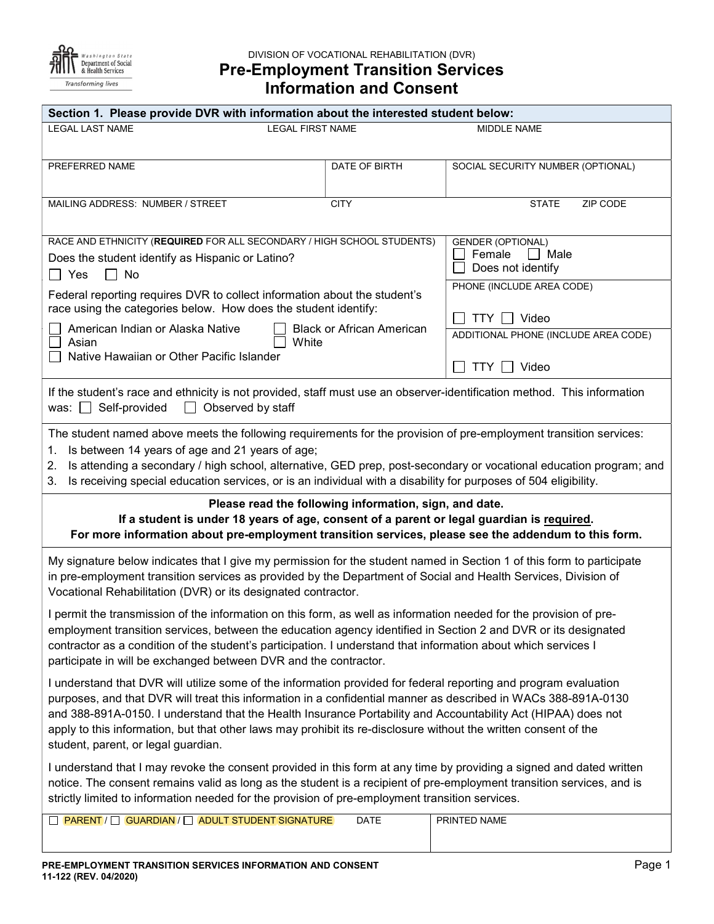

# DIVISION OF VOCATIONAL REHABILITATION (DVR) Pre-Employment Transition Services Information and Consent

| Section 1. Please provide DVR with information about the interested student below:                                                                                                                                                                                                                                                                                                                                                                                                                             |                                                                 |                                                          |  |  |  |  |
|----------------------------------------------------------------------------------------------------------------------------------------------------------------------------------------------------------------------------------------------------------------------------------------------------------------------------------------------------------------------------------------------------------------------------------------------------------------------------------------------------------------|-----------------------------------------------------------------|----------------------------------------------------------|--|--|--|--|
| <b>LEGAL FIRST NAME</b><br><b>LEGAL LAST NAME</b>                                                                                                                                                                                                                                                                                                                                                                                                                                                              | MIDDLE NAME                                                     |                                                          |  |  |  |  |
|                                                                                                                                                                                                                                                                                                                                                                                                                                                                                                                |                                                                 |                                                          |  |  |  |  |
| PREFERRED NAME                                                                                                                                                                                                                                                                                                                                                                                                                                                                                                 | DATE OF BIRTH                                                   | SOCIAL SECURITY NUMBER (OPTIONAL)                        |  |  |  |  |
| MAILING ADDRESS: NUMBER / STREET                                                                                                                                                                                                                                                                                                                                                                                                                                                                               | <b>CITY</b>                                                     | ZIP CODE<br><b>STATE</b>                                 |  |  |  |  |
| RACE AND ETHNICITY (REQUIRED FOR ALL SECONDARY / HIGH SCHOOL STUDENTS)<br>Does the student identify as Hispanic or Latino?<br>$\Box$ Yes<br>No<br>$\Box$                                                                                                                                                                                                                                                                                                                                                       | <b>GENDER (OPTIONAL)</b><br>Female<br>Male<br>Does not identify |                                                          |  |  |  |  |
| Federal reporting requires DVR to collect information about the student's<br>race using the categories below. How does the student identify:                                                                                                                                                                                                                                                                                                                                                                   | PHONE (INCLUDE AREA CODE)                                       |                                                          |  |  |  |  |
| American Indian or Alaska Native<br><b>Black or African American</b>                                                                                                                                                                                                                                                                                                                                                                                                                                           |                                                                 | Video<br>TTY    <br>ADDITIONAL PHONE (INCLUDE AREA CODE) |  |  |  |  |
| Asian<br>White<br>Native Hawaiian or Other Pacific Islander                                                                                                                                                                                                                                                                                                                                                                                                                                                    |                                                                 |                                                          |  |  |  |  |
|                                                                                                                                                                                                                                                                                                                                                                                                                                                                                                                |                                                                 | Video<br>$TTY$ $\Box$                                    |  |  |  |  |
| If the student's race and ethnicity is not provided, staff must use an observer-identification method. This information<br>Observed by staff<br>was: $\Box$ Self-provided<br>$\perp$                                                                                                                                                                                                                                                                                                                           |                                                                 |                                                          |  |  |  |  |
| The student named above meets the following requirements for the provision of pre-employment transition services:<br>Is between 14 years of age and 21 years of age;<br>1.<br>Is attending a secondary / high school, alternative, GED prep, post-secondary or vocational education program; and<br>2.<br>Is receiving special education services, or is an individual with a disability for purposes of 504 eligibility.<br>3.                                                                                |                                                                 |                                                          |  |  |  |  |
| Please read the following information, sign, and date.<br>If a student is under 18 years of age, consent of a parent or legal guardian is required.<br>For more information about pre-employment transition services, please see the addendum to this form.                                                                                                                                                                                                                                                    |                                                                 |                                                          |  |  |  |  |
| My signature below indicates that I give my permission for the student named in Section 1 of this form to participate<br>in pre-employment transition services as provided by the Department of Social and Health Services, Division of<br>Vocational Rehabilitation (DVR) or its designated contractor.                                                                                                                                                                                                       |                                                                 |                                                          |  |  |  |  |
| I permit the transmission of the information on this form, as well as information needed for the provision of pre-<br>employment transition services, between the education agency identified in Section 2 and DVR or its designated<br>contractor as a condition of the student's participation. I understand that information about which services I<br>participate in will be exchanged between DVR and the contractor.                                                                                     |                                                                 |                                                          |  |  |  |  |
| I understand that DVR will utilize some of the information provided for federal reporting and program evaluation<br>purposes, and that DVR will treat this information in a confidential manner as described in WACs 388-891A-0130<br>and 388-891A-0150. I understand that the Health Insurance Portability and Accountability Act (HIPAA) does not<br>apply to this information, but that other laws may prohibit its re-disclosure without the written consent of the<br>student, parent, or legal guardian. |                                                                 |                                                          |  |  |  |  |
| I understand that I may revoke the consent provided in this form at any time by providing a signed and dated written<br>notice. The consent remains valid as long as the student is a recipient of pre-employment transition services, and is<br>strictly limited to information needed for the provision of pre-employment transition services.                                                                                                                                                               |                                                                 |                                                          |  |  |  |  |
| □ PARENT / □ GUARDIAN / □ ADULT STUDENT SIGNATURE                                                                                                                                                                                                                                                                                                                                                                                                                                                              | <b>DATE</b>                                                     | PRINTED NAME                                             |  |  |  |  |
|                                                                                                                                                                                                                                                                                                                                                                                                                                                                                                                |                                                                 |                                                          |  |  |  |  |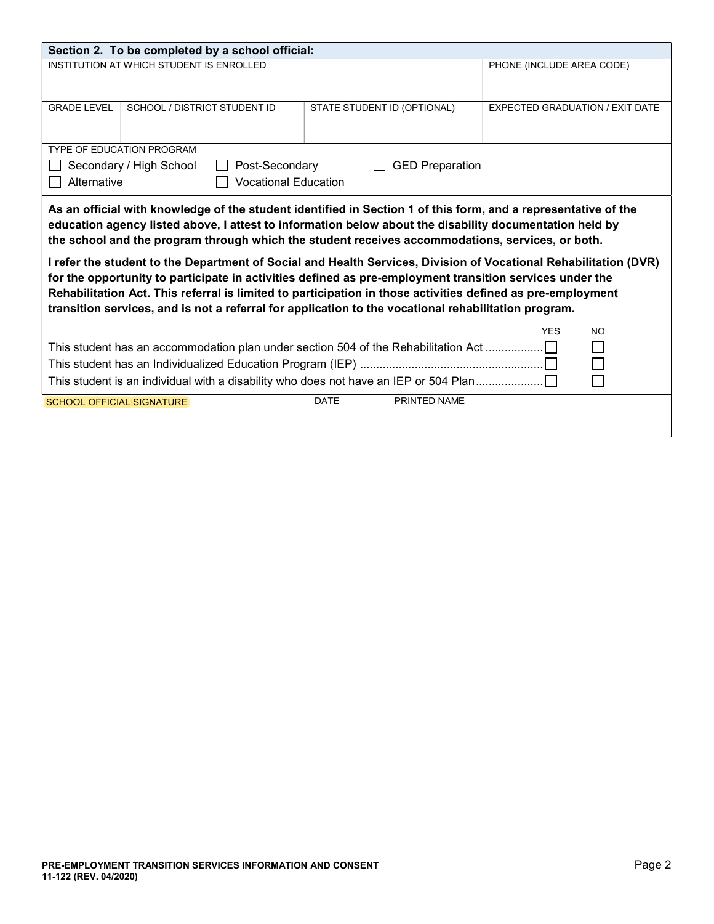| Section 2. To be completed by a school official:                                                                                                                                                                                                                                                                                                                                                                                                                                                                                                                                                                                                                                                                                                                                     |                                                             |             |              |                                        |           |  |  |  |
|--------------------------------------------------------------------------------------------------------------------------------------------------------------------------------------------------------------------------------------------------------------------------------------------------------------------------------------------------------------------------------------------------------------------------------------------------------------------------------------------------------------------------------------------------------------------------------------------------------------------------------------------------------------------------------------------------------------------------------------------------------------------------------------|-------------------------------------------------------------|-------------|--------------|----------------------------------------|-----------|--|--|--|
| INSTITUTION AT WHICH STUDENT IS ENROLLED                                                                                                                                                                                                                                                                                                                                                                                                                                                                                                                                                                                                                                                                                                                                             |                                                             |             |              | PHONE (INCLUDE AREA CODE)              |           |  |  |  |
| <b>GRADE LEVEL</b>                                                                                                                                                                                                                                                                                                                                                                                                                                                                                                                                                                                                                                                                                                                                                                   | SCHOOL / DISTRICT STUDENT ID<br>STATE STUDENT ID (OPTIONAL) |             |              | <b>EXPECTED GRADUATION / EXIT DATE</b> |           |  |  |  |
| <b>TYPE OF EDUCATION PROGRAM</b>                                                                                                                                                                                                                                                                                                                                                                                                                                                                                                                                                                                                                                                                                                                                                     |                                                             |             |              |                                        |           |  |  |  |
| Secondary / High School<br>Post-Secondary<br><b>GED Preparation</b>                                                                                                                                                                                                                                                                                                                                                                                                                                                                                                                                                                                                                                                                                                                  |                                                             |             |              |                                        |           |  |  |  |
| <b>Vocational Education</b><br>Alternative                                                                                                                                                                                                                                                                                                                                                                                                                                                                                                                                                                                                                                                                                                                                           |                                                             |             |              |                                        |           |  |  |  |
| As an official with knowledge of the student identified in Section 1 of this form, and a representative of the<br>education agency listed above, I attest to information below about the disability documentation held by<br>the school and the program through which the student receives accommodations, services, or both.<br>I refer the student to the Department of Social and Health Services, Division of Vocational Rehabilitation (DVR)<br>for the opportunity to participate in activities defined as pre-employment transition services under the<br>Rehabilitation Act. This referral is limited to participation in those activities defined as pre-employment<br>transition services, and is not a referral for application to the vocational rehabilitation program. |                                                             |             |              |                                        |           |  |  |  |
|                                                                                                                                                                                                                                                                                                                                                                                                                                                                                                                                                                                                                                                                                                                                                                                      |                                                             |             |              | <b>YES</b>                             | <b>NO</b> |  |  |  |
| This student has an accommodation plan under section 504 of the Rehabilitation Act                                                                                                                                                                                                                                                                                                                                                                                                                                                                                                                                                                                                                                                                                                   |                                                             |             |              |                                        |           |  |  |  |
|                                                                                                                                                                                                                                                                                                                                                                                                                                                                                                                                                                                                                                                                                                                                                                                      |                                                             |             |              |                                        |           |  |  |  |
| This student is an individual with a disability who does not have an IEP or 504 Plan                                                                                                                                                                                                                                                                                                                                                                                                                                                                                                                                                                                                                                                                                                 |                                                             |             |              |                                        |           |  |  |  |
| <b>SCHOOL OFFICIAL SIGNATURE</b>                                                                                                                                                                                                                                                                                                                                                                                                                                                                                                                                                                                                                                                                                                                                                     |                                                             | <b>DATE</b> | PRINTED NAME |                                        |           |  |  |  |
|                                                                                                                                                                                                                                                                                                                                                                                                                                                                                                                                                                                                                                                                                                                                                                                      |                                                             |             |              |                                        |           |  |  |  |